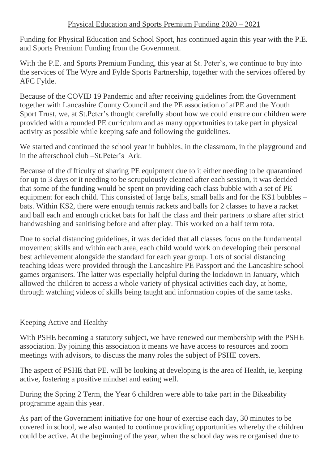## Physical Education and Sports Premium Funding 2020 – 2021

Funding for Physical Education and School Sport, has continued again this year with the P.E. and Sports Premium Funding from the Government.

With the P.E. and Sports Premium Funding, this year at St. Peter's, we continue to buy into the services of The Wyre and Fylde Sports Partnership, together with the services offered by AFC Fylde.

Because of the COVID 19 Pandemic and after receiving guidelines from the Government together with Lancashire County Council and the PE association of afPE and the Youth Sport Trust, we, at St.Peter's thought carefully about how we could ensure our children were provided with a rounded PE curriculum and as many opportunities to take part in physical activity as possible while keeping safe and following the guidelines.

We started and continued the school year in bubbles, in the classroom, in the playground and in the afterschool club –St.Peter's Ark.

Because of the difficulty of sharing PE equipment due to it either needing to be quarantined for up to 3 days or it needing to be scrupulously cleaned after each session, it was decided that some of the funding would be spent on providing each class bubble with a set of PE equipment for each child. This consisted of large balls, small balls and for the KS1 bubbles – bats. Within KS2, there were enough tennis rackets and balls for 2 classes to have a racket and ball each and enough cricket bats for half the class and their partners to share after strict handwashing and sanitising before and after play. This worked on a half term rota.

Due to social distancing guidelines, it was decided that all classes focus on the fundamental movement skills and within each area, each child would work on developing their personal best achievement alongside the standard for each year group. Lots of social distancing teaching ideas were provided through the Lancashire PE Passport and the Lancashire school games organisers. The latter was especially helpful during the lockdown in January, which allowed the children to access a whole variety of physical activities each day, at home, through watching videos of skills being taught and information copies of the same tasks.

## Keeping Active and Healthy

With PSHE becoming a statutory subject, we have renewed our membership with the PSHE association. By joining this association it means we have access to resources and zoom meetings with advisors, to discuss the many roles the subject of PSHE covers.

The aspect of PSHE that PE. will be looking at developing is the area of Health, ie, keeping active, fostering a positive mindset and eating well.

During the Spring 2 Term, the Year 6 children were able to take part in the Bikeability programme again this year.

As part of the Government initiative for one hour of exercise each day, 30 minutes to be covered in school, we also wanted to continue providing opportunities whereby the children could be active. At the beginning of the year, when the school day was re organised due to